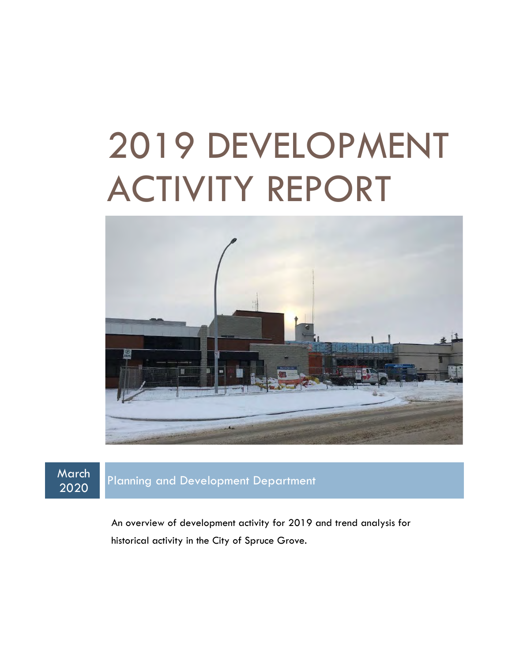# 2019 DEVELOPMENT ACTIVITY REPORT



March<br>2020

Planning and Development Department

An overview of development activity for 2019 and trend analysis for historical activity in the City of Spruce Grove.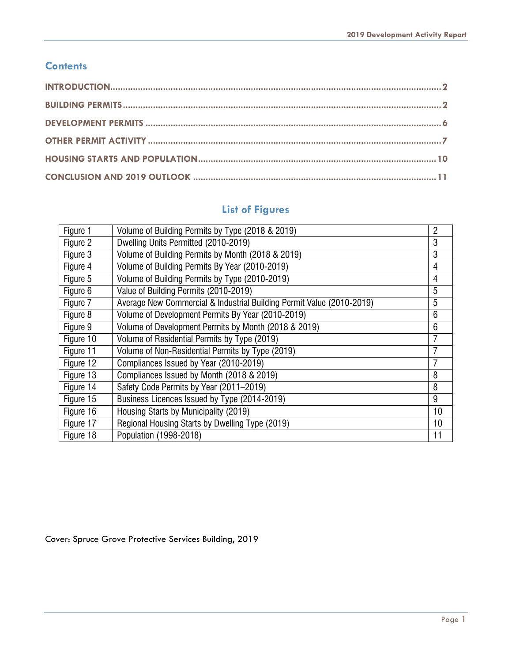#### **Contents**

## **List of Figures**

| Figure 1  | Volume of Building Permits by Type (2018 & 2019)                      | 2  |
|-----------|-----------------------------------------------------------------------|----|
| Figure 2  | Dwelling Units Permitted (2010-2019)                                  | 3  |
| Figure 3  | Volume of Building Permits by Month (2018 & 2019)                     | 3  |
| Figure 4  | Volume of Building Permits By Year (2010-2019)                        | 4  |
| Figure 5  | Volume of Building Permits by Type (2010-2019)                        | 4  |
| Figure 6  | Value of Building Permits (2010-2019)                                 | 5  |
| Figure 7  | Average New Commercial & Industrial Building Permit Value (2010-2019) | 5  |
| Figure 8  | Volume of Development Permits By Year (2010-2019)                     | 6  |
| Figure 9  | Volume of Development Permits by Month (2018 & 2019)                  | 6  |
| Figure 10 | Volume of Residential Permits by Type (2019)                          |    |
| Figure 11 | Volume of Non-Residential Permits by Type (2019)                      |    |
| Figure 12 | Compliances Issued by Year (2010-2019)                                |    |
| Figure 13 | Compliances Issued by Month (2018 & 2019)                             | 8  |
| Figure 14 | Safety Code Permits by Year (2011-2019)                               | 8  |
| Figure 15 | Business Licences Issued by Type (2014-2019)                          | 9  |
| Figure 16 | Housing Starts by Municipality (2019)                                 | 10 |
| Figure 17 | Regional Housing Starts by Dwelling Type (2019)                       | 10 |
| Figure 18 | Population (1998-2018)                                                | 11 |

Cover: Spruce Grove Protective Services Building, 2019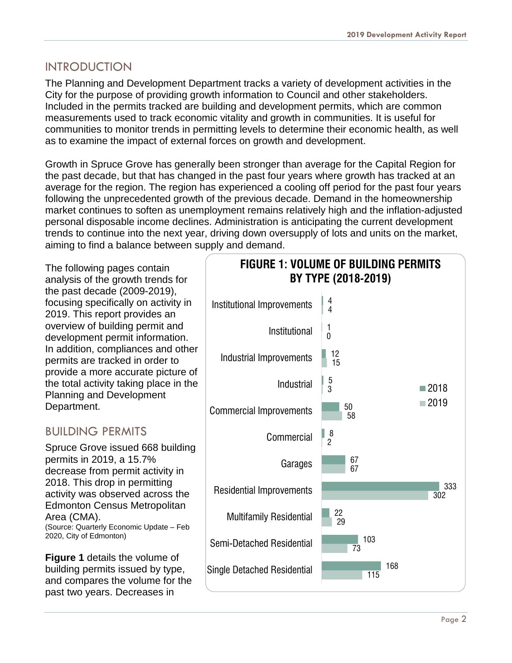#### <span id="page-2-0"></span>INTRODUCTION

The Planning and Development Department tracks a variety of development activities in the City for the purpose of providing growth information to Council and other stakeholders. Included in the permits tracked are building and development permits, which are common measurements used to track economic vitality and growth in communities. It is useful for communities to monitor trends in permitting levels to determine their economic health, as well as to examine the impact of external forces on growth and development.

Growth in Spruce Grove has generally been stronger than average for the Capital Region for the past decade, but that has changed in the past four years where growth has tracked at an average for the region. The region has experienced a cooling off period for the past four years following the unprecedented growth of the previous decade. Demand in the homeownership market continues to soften as unemployment remains relatively high and the inflation-adjusted personal disposable income declines. Administration is anticipating the current development trends to continue into the next year, driving down oversupply of lots and units on the market, aiming to find a balance between supply and demand.

The following pages contain analysis of the growth trends for the past decade (2009-2019), focusing specifically on activity in 2019. This report provides an overview of building permit and development permit information. In addition, compliances and other permits are tracked in order to provide a more accurate picture of the total activity taking place in the Planning and Development Department.

### <span id="page-2-1"></span>BUILDING PERMITS

Spruce Grove issued 668 building permits in 2019, a 15.7% decrease from permit activity in 2018. This drop in permitting activity was observed across the Edmonton Census Metropolitan Area (CMA). (Source: Quarterly Economic Update – Feb 2020, City of Edmonton)

**Figure 1** details the volume of building permits issued by type, and compares the volume for the past two years. Decreases in

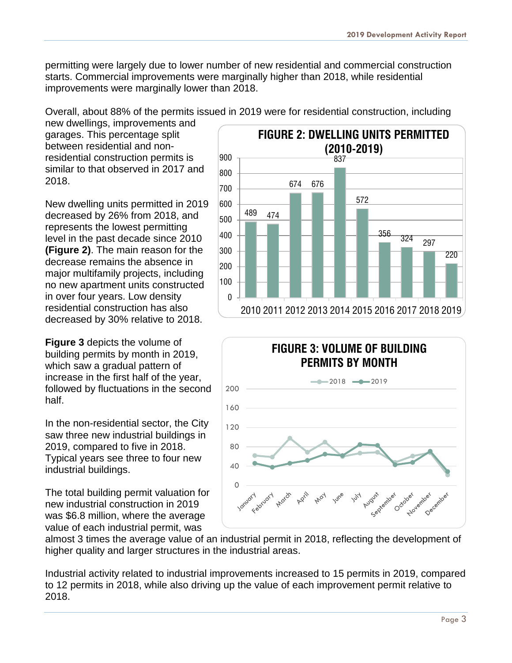permitting were largely due to lower number of new residential and commercial construction starts. Commercial improvements were marginally higher than 2018, while residential improvements were marginally lower than 2018.

Overall, about 88% of the permits issued in 2019 were for residential construction, including

new dwellings, improvements and garages. This percentage split between residential and nonresidential construction permits is similar to that observed in 2017 and 2018.

New dwelling units permitted in 2019 decreased by 26% from 2018, and represents the lowest permitting level in the past decade since 2010 **(Figure 2)**. The main reason for the decrease remains the absence in major multifamily projects, including no new apartment units constructed in over four years. Low density residential construction has also decreased by 30% relative to 2018.

**Figure 3** depicts the volume of building permits by month in 2019, which saw a gradual pattern of increase in the first half of the year, followed by fluctuations in the second half.

In the non-residential sector, the City saw three new industrial buildings in 2019, compared to five in 2018. Typical years see three to four new industrial buildings.

The total building permit valuation for new industrial construction in 2019 was \$6.8 million, where the average value of each industrial permit, was





almost 3 times the average value of an industrial permit in 2018, reflecting the development of higher quality and larger structures in the industrial areas.

Industrial activity related to industrial improvements increased to 15 permits in 2019, compared to 12 permits in 2018, while also driving up the value of each improvement permit relative to 2018.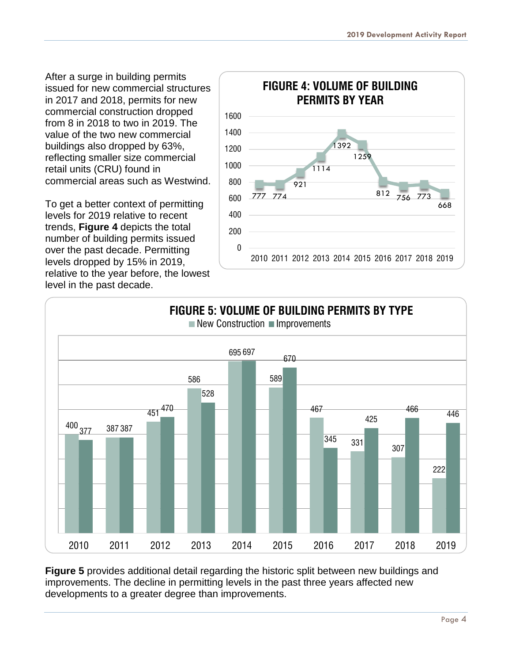After a surge in building permits issued for new commercial structures in 2017 and 2018, permits for new commercial construction dropped from 8 in 2018 to two in 2019. The value of the two new commercial buildings also dropped by 63%, reflecting smaller size commercial retail units (CRU) found in commercial areas such as Westwind.

To get a better context of permitting levels for 2019 relative to recent trends, **Figure 4** depicts the total number of building permits issued over the past decade. Permitting levels dropped by 15% in 2019, relative to the year before, the lowest level in the past decade.





**Figure 5** provides additional detail regarding the historic split between new buildings and improvements. The decline in permitting levels in the past three years affected new developments to a greater degree than improvements.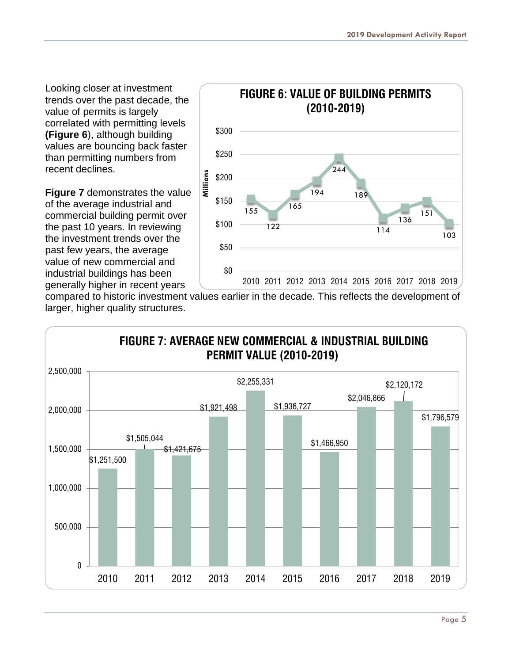Looking closer at investment trends over the past decade, the value of permits is largely correlated with permitting levels **(Figure 6**), although building values are bouncing back faster than permitting numbers from recent declines.

**Figure 7** demonstrates the value of the average industrial and commercial building permit over the past 10 years. In reviewing the investment trends over the past few years, the average value of new commercial and industrial buildings has been generally higher in recent years



compared to historic investment values earlier in the decade. This reflects the development of larger, higher quality structures.

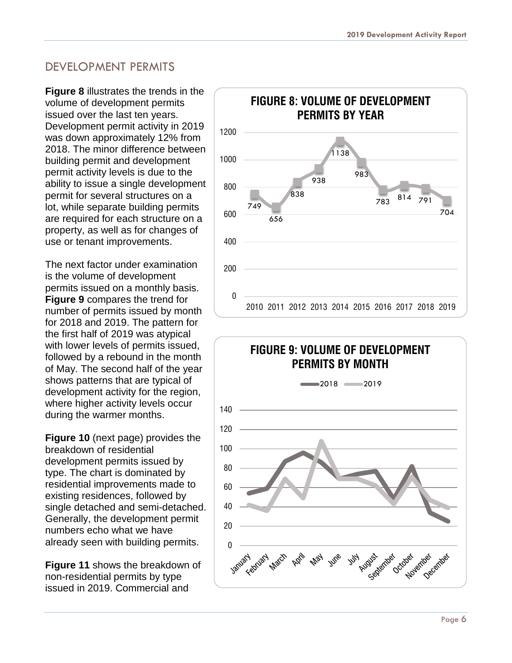#### <span id="page-6-0"></span>DEVELOPMENT PERMITS

**Figure 8** illustrates the trends in the volume of development permits issued over the last ten years. Development permit activity in 2019 was down approximately 12% from 2018. The minor difference between building permit and development permit activity levels is due to the ability to issue a single development permit for several structures on a lot, while separate building permits are required for each structure on a property, as well as for changes of use or tenant improvements.

The next factor under examination is the volume of development permits issued on a monthly basis. **Figure 9** compares the trend for number of permits issued by month for 2018 and 2019. The pattern for the first half of 2019 was atypical with lower levels of permits issued, followed by a rebound in the month of May. The second half of the year shows patterns that are typical of development activity for the region, where higher activity levels occur during the warmer months.

**Figure 10** (next page) provides the breakdown of residential development permits issued by type. The chart is dominated by residential improvements made to existing residences, followed by single detached and semi-detached. Generally, the development permit numbers echo what we have already seen with building permits.

**Figure 11** shows the breakdown of non-residential permits by type issued in 2019. Commercial and



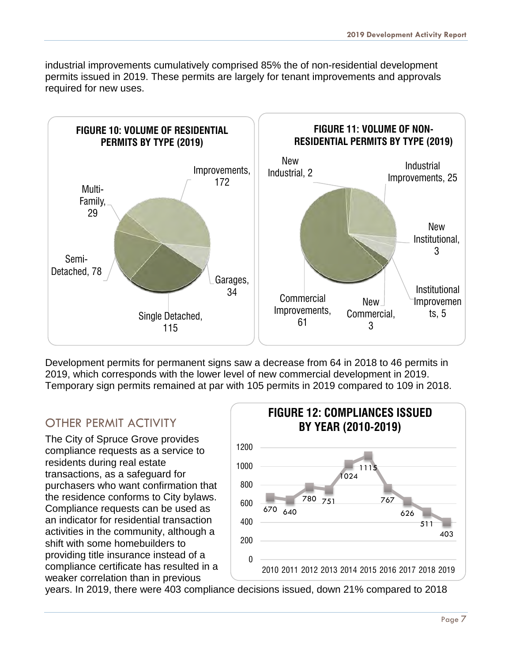industrial improvements cumulatively comprised 85% the of non-residential development permits issued in 2019. These permits are largely for tenant improvements and approvals required for new uses.



Development permits for permanent signs saw a decrease from 64 in 2018 to 46 permits in 2019, which corresponds with the lower level of new commercial development in 2019. Temporary sign permits remained at par with 105 permits in 2019 compared to 109 in 2018.

# <span id="page-7-0"></span>OTHER PERMIT ACTIVITY

The City of Spruce Grove provides compliance requests as a service to residents during real estate transactions, as a safeguard for purchasers who want confirmation that the residence conforms to City bylaws. Compliance requests can be used as an indicator for residential transaction activities in the community, although a shift with some homebuilders to providing title insurance instead of a compliance certificate has resulted in a weaker correlation than in previous



years. In 2019, there were 403 compliance decisions issued, down 21% compared to 2018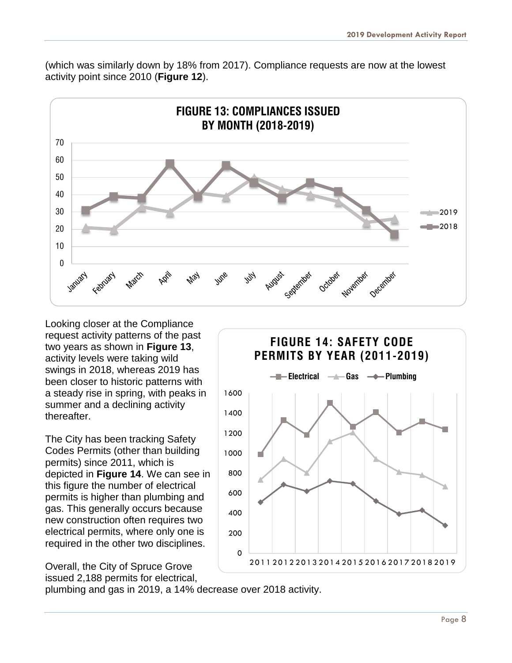(which was similarly down by 18% from 2017). Compliance requests are now at the lowest activity point since 2010 (**Figure 12**).



Looking closer at the Compliance request activity patterns of the past two years as shown in **Figure 13**, activity levels were taking wild swings in 2018, whereas 2019 has been closer to historic patterns with a steady rise in spring, with peaks in summer and a declining activity thereafter.

The City has been tracking Safety Codes Permits (other than building permits) since 2011, which is depicted in **Figure 14**. We can see in this figure the number of electrical permits is higher than plumbing and gas. This generally occurs because new construction often requires two electrical permits, where only one is required in the other two disciplines.

Overall, the City of Spruce Grove issued 2,188 permits for electrical,



plumbing and gas in 2019, a 14% decrease over 2018 activity.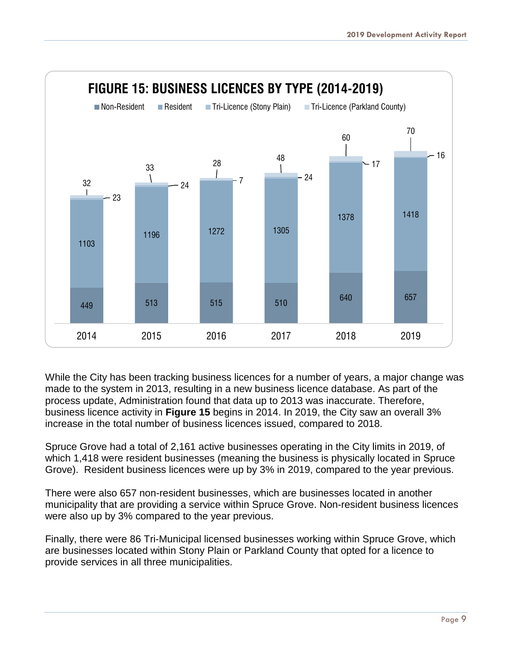

While the City has been tracking business licences for a number of years, a major change was made to the system in 2013, resulting in a new business licence database. As part of the process update, Administration found that data up to 2013 was inaccurate. Therefore, business licence activity in **Figure 15** begins in 2014. In 2019, the City saw an overall 3% increase in the total number of business licences issued, compared to 2018.

Spruce Grove had a total of 2,161 active businesses operating in the City limits in 2019, of which 1,418 were resident businesses (meaning the business is physically located in Spruce Grove). Resident business licences were up by 3% in 2019, compared to the year previous.

There were also 657 non-resident businesses, which are businesses located in another municipality that are providing a service within Spruce Grove. Non-resident business licences were also up by 3% compared to the year previous.

<span id="page-9-0"></span>Finally, there were 86 Tri-Municipal licensed businesses working within Spruce Grove, which are businesses located within Stony Plain or Parkland County that opted for a licence to provide services in all three municipalities.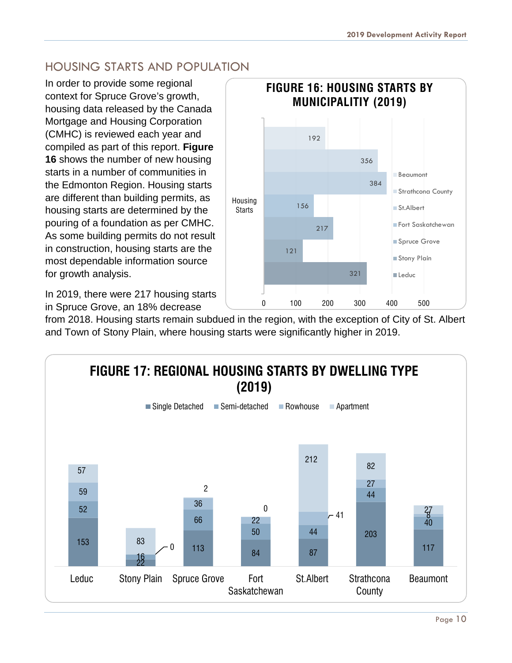# HOUSING STARTS AND POPULATION

In order to provide some regional context for Spruce Grove's growth, housing data released by the Canada Mortgage and Housing Corporation (CMHC) is reviewed each year and compiled as part of this report. **Figure 16** shows the number of new housing starts in a number of communities in the Edmonton Region. Housing starts are different than building permits, as housing starts are determined by the pouring of a foundation as per CMHC. As some building permits do not result in construction, housing starts are the most dependable information source for growth analysis.

In 2019, there were 217 housing starts in Spruce Grove, an 18% decrease



from 2018. Housing starts remain subdued in the region, with the exception of City of St. Albert and Town of Stony Plain, where housing starts were significantly higher in 2019.